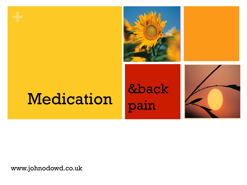

# Medication

 &back pain



www.johnodowd.co.uk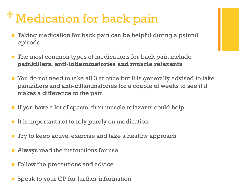# **+**Medication for back pain

- Taking medication for back pain can be helpful during a painful episode
- $\blacksquare$  The most common types of medications for back pain include **painkillers, anti-inflammatories and muscle relaxants**
- You do not need to take all 3 at once but it is generally advised to take painkillers and anti-inflammatories for a couple of weeks to see if it makes a difference to the pain
- $\blacksquare$  If you have a lot of spasm, then muscle relaxants could help
- $\blacksquare$  It is important not to rely purely on medication
- Try to keep active, exercise and take a healthy approach
- n Always read the instructions for use
- $\blacksquare$  Follow the precautions and advice
- $\blacksquare$  Speak to your GP for further information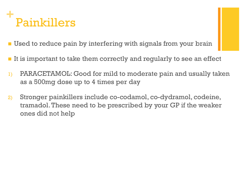#### **+** Painkillers

- **I** Used to reduce pain by interfering with signals from your brain
- **n** It is important to take them correctly and regularly to see an effect
- 1) PARACETAMOL: Good for mild to moderate pain and usually taken as a 500mg dose up to 4 times per day
- 2) Stronger painkillers include co-codamol, co-dydramol, codeine, tramadol. These need to be prescribed by your GP if the weaker ones did not help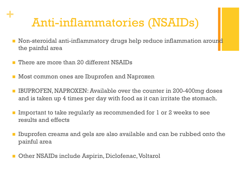### Anti-inflammatories (NSAIDs)

- **Non-steroidal anti-inflammatory drugs help reduce inflammation around** the painful area
- **n** There are more than 20 different NSAIDs

**+**

- $\blacksquare$  Most common ones are Ibuprofen and Naproxen
- n IBUPROFEN, NAPROXEN: Available over the counter in 200-400mg doses and is taken up 4 times per day with food as it can irritate the stomach.
- Important to take regularly as recommended for 1 or 2 weeks to see results and effects
- n Ibuprofen creams and gels are also available and can be rubbed onto the painful area
- n Other NSAIDs include Aspirin, Diclofenac, Voltarol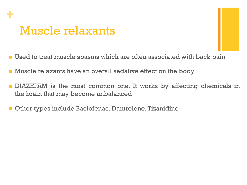## **+** Muscle relaxants

- Used to treat muscle spasms which are often associated with back pain
- **n** Muscle relaxants have an overall sedative effect on the body
- **n** DIAZEPAM is the most common one. It works by affecting chemicals in the brain that may become unbalanced
- n Other types include Baclofenac, Dantrolene, Tizanidine